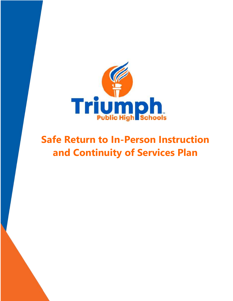

# **Safe Return to In-Person Instruction and Continuity of Services Plan**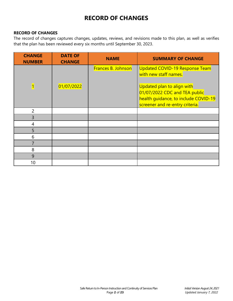# **RECORD OF CHANGES**

## **RECORD OF CHANGES**

The record of changes captures changes, updates, reviews, and revisions made to this plan, as well as verifies that the plan has been reviewed every six months until September 30, 2023.

| <b>CHANGE</b><br><b>NUMBER</b> | <b>DATE OF</b><br><b>CHANGE</b> | <b>NAME</b>        | <b>SUMMARY OF CHANGE</b>                                                                                                                                                                                 |
|--------------------------------|---------------------------------|--------------------|----------------------------------------------------------------------------------------------------------------------------------------------------------------------------------------------------------|
| $\overline{1}$                 | 01/07/2022                      | Frances B. Johnson | <b>Updated COVID-19 Response Team</b><br>with new staff names.<br>Updated plan to align with<br>01/07/2022 CDC and TEA public<br>health guidance, to include COVID-19<br>screener and re-entry criteria. |
| $\overline{2}$                 |                                 |                    |                                                                                                                                                                                                          |
| 3                              |                                 |                    |                                                                                                                                                                                                          |
| 4                              |                                 |                    |                                                                                                                                                                                                          |
| 5                              |                                 |                    |                                                                                                                                                                                                          |
| 6                              |                                 |                    |                                                                                                                                                                                                          |
|                                |                                 |                    |                                                                                                                                                                                                          |
| 8                              |                                 |                    |                                                                                                                                                                                                          |
| 9                              |                                 |                    |                                                                                                                                                                                                          |
| 10                             |                                 |                    |                                                                                                                                                                                                          |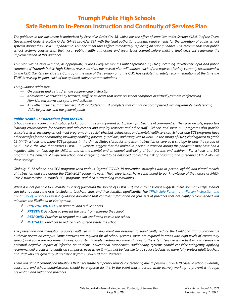# **Triumph Public High Schools Safe Return to In-Person Instruction and Continuity of Services Plan**

*The guidance in this document is authorized by Executive Order GA-38, which has the effect of state law under Section 418.012 of the Texas Government Code. Executive Order GA-38 provides TEA with the legal authority to publish requirements for the operation of public school systems during the COVID-19 pandemic. This document takes effect immediately, replacing all prior guidance. TEA recommends that public school systems consult with their local public health authorities and local legal counsel before making final decisions regarding the implementation of this guidance.*

*This plan will be reviewed and, as appropriate, revised every six months until September 30, 2023, including stakeholder input and public comment. If Triumph Public High Schools revises its plan, the revised plan will address each of the aspects of safety currently recommended by the CDC (Centers for Disease Control) at the time of the revision or, if the CDC has updated its safety recommendations at the time the TPHS is revising its plan, each of the updated safety recommendations.*

*This guidance addresses:*

- *On campus and virtual/remote conferencing instruction*
- *Administrative activities by teachers, staff, or students that occur on school campuses or virtually/remote conferencing*
- *Non-UIL extracurricular sports and activities*
- *Any other activities that teachers, staff, or students must complete that cannot be accomplished virtually/remote conferencing*
- *Visits by parents and the general public*

#### *Public Health Considerations from the CDC*

*Schools and early care and education (ECE) programs are an important part of the infrastructure of communities. They provide safe, supportive learning environments for children and adolescents and employ teachers and other staff. Schools and some ECE programs also provide critical services, including school meal programs and social, physical, behavioral, and mental health services. Schools and ECE programs have other benefits for the community, including enabling parents, guardians, and caregivers to work. In the spring of 2020, kindergarten to grade 12 (K-12) schools and many ECE programs in the United States closed for in-person instruction or care as a strategy to slow the spread of SARS-CoV-2, the virus that causes COVID-19. Reports suggest that the limited in-person instruction during the pandemic may have had a negative effect on learning for children and on the mental and emotional well-being of both parents and children. For schools and ECE programs, the benefits of in-person school and caregiving need to be balanced against the risk of acquiring and spreading SARS-CoV-2 in these settings.*

*Globally, K-12 schools and ECE programs used various, layered COVID-19 prevention strategies with in-person, hybrid, and virtual models of instruction and care during the 2020-2021 academic year. Their experiences have contributed to our knowledge of the nature of SARS-CoV-2 transmission in schools, ECE programs, and their surrounding communities.* 

*While it is not possible to eliminate all risk of furthering the spread of COVID-19, the current science suggests there are many steps schools can take to reduce the risks to students, teachers, staff, and their families significantly. The TPHS- Safe Return to In-Person Instruction and*  Continuity of Services Plan is a quidance document that contains information on four sets of practices that are highly recommended will *minimize the likelihood of viral spread:*

- √ *PROVIDE NOTICE: For parental and public notices*
- √ *PREVENT: Practices to prevent the virus from entering the school*
- √ *RESPOND: Practices to respond to a lab-confirmed case in the school*
- √ *MITIGATE: Practices to reduce likely spread inside the school*

*The prevention and mitigation practices outlined in this document are designed to significantly reduce the likelihood that a coronavirus outbreak occurs on campus. Some practices are required for all school systems, some are required in areas with high levels of community spread, and some are recommendations. Consistently implementing recommendations to the extent feasible is the best way to reduce the potential negative impact of infection on students' educational experiences. Additionally, systems should consider stringently applying recommended practices to adults on campuses, even when it might not be feasible to do so for students, to more fully protect adult teachers and staff who are generally at greater risk from COVID-19 than students.*

*There will almost certainly be situations that necessitate temporary remote conferencing due to positive COVID-19 cases in schools. Parents, educators, and school administrators should be prepared for this in the event that it occurs, while actively working to prevent it through prevention and mitigation practices.*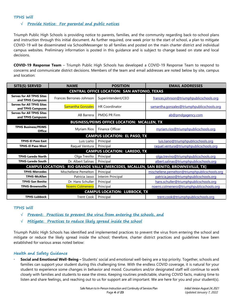**TPHS Will**

## √ **Provide Notice: For parental and public notices**

Triumph Public High Schools is providing notice to parents, families, and the community regarding back-to-school plans and instruction through this initial document. As further required, one week prior to the start of school, a plan to mitigate COVID-19 will be disseminated via SchoolMessenger to all families and posted on the main charter district and individual campus websites. Preliminary information is posted in this guidance and is subject to change based on state and local decisions.

**COVID-19 Response Team** – Triumph Public High Schools has developed a COVID-19 Response Team to respond to concerns and communicate district decisions. Members of the team and email addresses are noted below by site, campus and location:

| <b>SITE(S) SERVED</b><br><b>NAME</b>                                                |                          | <b>POSITION</b>                                    | <b>EMAIL ADDRESSES</b>                        |  |  |  |  |
|-------------------------------------------------------------------------------------|--------------------------|----------------------------------------------------|-----------------------------------------------|--|--|--|--|
| <b>CENTRAL OFFICE LOCATION: SAN ANTONIO, TEXAS</b>                                  |                          |                                                    |                                               |  |  |  |  |
| <b>Serves for All TPHS Sites</b><br>and TPHS Campuses                               | Frances Berrones-Johnson | Superintendent/CEO                                 | frances.johnson@triumphpublicschools.org      |  |  |  |  |
| <b>Serves for All TPHS Sites</b><br>and TPHS Campuses                               | <b>Samantha Gonzales</b> | <b>HR Coordinator</b>                              | samantha.gonzales@triumphpublicschools.org    |  |  |  |  |
| <b>Serves for All TPHS Sites</b><br>and TPHS Campuses                               | AB Barrera               | <b>PMDG PR Firm</b>                                | ab@pmdgagency.com                             |  |  |  |  |
|                                                                                     |                          | <b>BUSINESS/PEIMS OFFICE LOCATION: MCALLEN, TX</b> |                                               |  |  |  |  |
| <b>TPHS Business/PEIMS</b><br><b>Office</b>                                         | Myriam Rios              | Finance Officer                                    | myriam.rios@triumphpublicschools.org          |  |  |  |  |
| <b>CAMPUS LOCATION: EL PASO, TX</b>                                                 |                          |                                                    |                                               |  |  |  |  |
| <b>TPHS-El Paso East</b>                                                            | Luis Liaño               | Principal                                          | luis.liano@triumphpublicschools.org           |  |  |  |  |
| <b>TPHS-El Paso West</b>                                                            | Raquel Ventura           | Principal                                          | raquel.ventura@triumphpublicschools.org       |  |  |  |  |
| <b>CAMPUS LOCATION: LAREDO, TX</b>                                                  |                          |                                                    |                                               |  |  |  |  |
| <b>TPHS-Laredo North</b>                                                            | Olga Treviño             | Principal                                          | olga.trevino@triumphpublicschools.org         |  |  |  |  |
| <b>TPHS-Laredo South</b>                                                            | Dr. Albert Salinas       | Principal                                          | albert.salinas@triumphpublicschools.org       |  |  |  |  |
| CAMPUS LOCATIONS: RIO GRANDE VALLY [MERCEDES, MCALLEN, SAN BENITO, BROWNSVILLE, TX] |                          |                                                    |                                               |  |  |  |  |
| <b>TPHS-Mercedes</b>                                                                | Mischellene Pemelton     | Principal                                          | mischellene.pemelton@triumphpublicschools.org |  |  |  |  |
| <b>TPHS-McAllen</b>                                                                 | Patricia Jasso           | Interim Principal                                  | patricia.jasso@triumphpublicschools.org       |  |  |  |  |
| <b>TPHS-San Benito</b>                                                              | Dr. Hans Schuller        | Principal                                          | hans.schuller@triumphpublicschools.org        |  |  |  |  |
| <b>TPHS-Brownsville</b>                                                             | Noemi Colmenero          | Principal                                          | noemi.colmenero@triumphpublicschools.org      |  |  |  |  |
|                                                                                     |                          | <b>CAMPUS LOCATION: LUBBOCK, TX</b>                |                                               |  |  |  |  |
| <b>TPHS-Lubbock</b>                                                                 | <b>Trent Cook</b>        | Principal                                          | trent.cook@triumphpublicschools.org           |  |  |  |  |

#### **TPHS Will**

- √ **Prevent: Practices to prevent the virus from entering the schools, and**
- √ **Mitigate: Practices to reduce likely spread inside the school**

Triumph Public High Schools has identified and implemented practices to prevent the virus from entering the school and mitigate or reduce the likely spread inside the school; therefore, charter district practices and guidelines have been established for various areas noted below:

#### **Health and Safety Guidance**

 **Social and Emotional Well-Being –** Students' social and emotional well-being are a top priority. Together, schools and families can support your student during this challenging time. With the endless COVID coverage, it is natural for your student to experience some changes in behavior and mood. Counselors and/or designated staff will continue to work closely with families and students to ease the stress. Keeping routines predictable, sharing COVID facts, making time to listen and share feelings, and reaching out to us for support are all important. We are here for you and your student(s).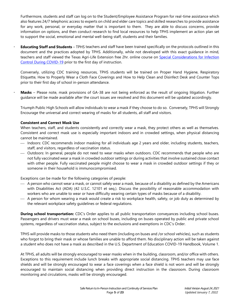Furthermore, students and staff can log on to the Student/Employee Assistance Program for real-time assistance which also features 24/7 telephonic access to experts on child and elder care topics and skilled researches to provide assistance for any work, personal, or everyday matter that is important to them. They are able to discuss concerns, provide information on options, and then conduct research to find local resources to help TPHS implement an action plan set to support the social, emotional and mental well-being staff, students and their families.

 **Educating Staff and Students** – TPHS teachers and staff have been trained specifically on the protocols outlined in this document and the practices adopted by TPHS. Additionally, while not developed with this exact guidance in mind, teachers and staff viewed the Texas Agri-Life Extension free 2hr. online course on [Special Considerations](https://agrilifelearn.tamu.edu/product?catalog=COFS-256) for Infection Control During COVID-19 [prior to the first day of instruction.](https://agrilifelearn.tamu.edu/product?catalog=COFS-256)

Conversely, utilizing CDC training resources, TPHS students will be trained on Proper Hand Hygiene, Respiratory Etiquette, How to Properly Wear a Cloth Face Coverings and How to Help Clean and Disinfect Desk and Counter Tops prior to their first day of school in-person attendance.

 **Masks** – Please note, mask provisions of GA-38 are not being enforced as the result of ongoing litigation. Further guidance will be made available after the court issues are resolved and this document will be updated accordingly.

Triumph Public High Schools will allow individuals to wear a mask if they choose to do so. Conversely, TPHS will Strongly Encourage the universal and correct wearing of masks for all students, all staff and visitors.

#### **Consistent and Correct Mask Use**

When teachers, staff, and students consistently and correctly wear a mask, they protect others as well as themselves. Consistent and correct mask use is especially important indoors and in crowded settings, when physical distancing cannot be maintained.

- Indoors: CDC recommends indoor masking for all individuals age 2 years and older, including students, teachers, staff, and visitors, regardless of vaccination status.
- Outdoors: In general, people do not need to wear masks when outdoors. CDC recommends that people who are not fully vaccinated wear a mask in crowded outdoor settings or during activities that involve sustained close contact with other people. Fully vaccinated people might choose to wear a mask in crowded outdoor settings if they or someone in their household is immunocompromised.

Exceptions can be made for the following categories of people:

- A person who cannot wear a mask, or cannot safely wear a mask, because of a disability as defined by the Americans with Disabilities Act (ADA) (42 U.S.C. 12101 et seq.). Discuss the possibility of reasonable accommodation with workers who are unable to wear or have difficulty wearing certain types of masks because of a disability.
- A person for whom wearing a mask would create a risk to workplace health, safety, or job duty as determined by the relevant workplace safety guidelines or federal regulations.

**During school transportation:** CDC's Order applies to all public transportation conveyances including school buses. Passengers and drivers must wear a mask on school buses, including on buses operated by public and private school systems, regardless of vaccination status, subject to the exclusions and exemptions in CDC's Order.

TPHS will provide masks to those students who need them (including on buses and /or school vehicles), such as students who forgot to bring their mask or whose families are unable to afford them. No disciplinary action will be taken against a student who does not have a mask as described in the U.S. Department of Education COVID-19 Handbook, Volume 1.

At TPHS, all adults will be strongly encouraged to wear masks when in the building, classroom, and/or office with others. Exceptions to this requirement include lunch breaks with appropriate social distancing. TPHS teachers may use face shields and will be strongly encouraged to wear a face coverings when a face shield is not worn and will be strongly encouraged to maintain social distancing when providing direct instruction in the classroom. During classroom monitoring and circulations, masks will be strongly encouraged.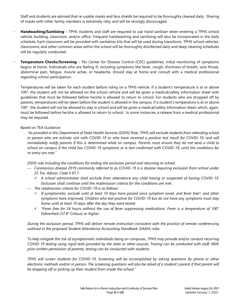Staff and students are advised that re-usable masks and face shields be required to be thoroughly cleaned daily. Sharing of masks with other family members is extremely risky and will be strongly discouraged.

- **Handwashing/Sanitizing** TPHS students and staff are required to use hand sanitizer when entering a TPHS school vehicle, building, classroom, and/or office. Frequent handwashing and sanitizing will also be incorporated in the daily schedule. Each classroom will be provided with sanitation kits that will be used during transitions. TPHS school vehicles, classrooms, and other common areas within the school will be thoroughly disinfected daily and deep cleaning schedules will be regularly conducted.
- **Temperature Checks/Screening** Per Center for Disease Control (CDC) guidelines, initial monitoring of symptoms begins at home. Individuals who are feeling ill, including symptoms like fever, cough, shortness of breath, sore throat, abdominal pain, fatigue, muscle aches, or headache, should stay at home and consult with a medical professional regarding school participation.

Temperatures will be taken for each student before riding on a TPHS vehicle. If a student's temperature is at or above 100°, the student will not be allowed on the school vehicle and will be given a medical/safety information sheet with guidelines that must be followed before he/she is allowed to return to school. For students who are dropped off by parents, temperatures will be taken before the student is allowed in the campus. If a student's temperature is at or above  $100^\circ$ , the student will not be allowed to stay in school and will be given a medical/safety information sheet, which, again, must be followed before he/she is allowed to return to school. In some instances, a release from a medical professional may be required.

## Based on TEA Guidance:

*"As provided in this Department of State Health Services (DSHS) Rule, TPHS will exclude students from attending school in person who are actively sick with COVID-19 or who have received a positive test result for COVID-19, and will immediately notify parents if this is determined while on campus. Parents must ensure they do not send a child to school on campus if the child has COVID-19 symptoms or is test-confirmed with COVID-19, until the conditions for re-entry are met."*

*DSHS rule including the conditions for ending the exclusion period and returning to school.*

- *Coronavirus disease 2019 commonly referred to as COVID-19 is a disease requiring exclusion from school under 25 Tex. Admin. Code § 97.7.*
	- *A school administrator shall exclude from attendance any child having or suspected of having COVID-19. Exclusion shall continue until the readmission criteria for the conditions are met.*
- *The readmission criteria for COVID-19 is as follows:*
	- *If symptomatic, exclude until at least 10 days have passed since symptom onset, and fever free\*, and other symptoms have improved. Children who test positive for COVID-19 but do not have any symptoms must stay home until at least 10 days after the day they were tested.*
	- *\*Fever free for 24 hours without the use of fever suppressing medications. Fever is a temperature of 100° Fahrenheit (37.8° Celsius) or higher.*

*During the exclusion period, TPHS will deliver remote instruction consistent with the practice of remote conferencing outlined in the proposed Student Attendance Accounting Handbook (SAAH) rules.*

*To help mitigate the risk of asymptomatic individuals being on campuses, TPHS may provide and/or conduct recurring COVID-19 testing using rapid tests provided by the state or other sources. Testing can be conducted with staff. With prior written permission of parents, testing can be conducted with students.*

*TPHS will screen students for COVID-19. Screening will be accomplished by asking questions by phone or other electronic methods and/or in person. The screening questions will also be asked of a student's parent if that parent will be dropping off or picking up their student from inside the school."*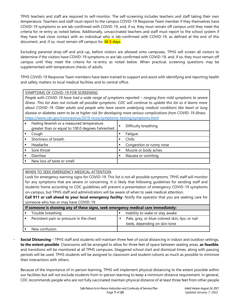TPHS teachers and staff are required to self-monitor. The self-screening includes teachers and staff taking their own temperature. Teachers and staff must report to the campus COVID-19 Response Team member if they themselves have COVID-19 symptoms or are lab-confirmed with COVID-19, and, if so, they must remain off campus until they meet the criteria for re-entry as noted below. Additionally, unvaccinated teachers and staff must report to the school system if they have had close contact with an individual who is lab-confirmed with COVID-19, as defined at the end of this document, and, if so, must remain off campus for **10 5-days**.

Excluding parental drop-off and pick-up, before visitors are allowed onto campuses, TPHS will screen all visitors to determine if the visitors have COVID-19 symptoms or are lab-confirmed with COVID-19, and, if so, they must remain off campus until they meet the criteria for re-entry as noted below. When practical, screening questions may be supplemented with temperature checks of adults.

TPHS COVID-19 Response Team members have been trained to support and assist with identifying and reporting health and safety matters to local medical facilities and to central office.

## SYMPTOMS OF COVID-19 FOR SCREENING

*People with COVID-19 have had a wide range of symptoms reported – ranging from mild symptoms to severe illness. This list does not include all possible symptoms. CDC will continue to update this list as it learns more about COVID-19. Older adults and people who have severe underlying medical conditions like heart or lung disease or diabetes seem to be at higher risk for developing more serious complications from COVID-19 illness.* <https://www.cdc.gov/coronavirus/2019-ncov/symptoms-testing/symptoms.html>

| Feeling feverish or a measured temperature<br>greater than or equal to 100.0 degrees Fahrenheit |   | Difficulty breathing     |
|-------------------------------------------------------------------------------------------------|---|--------------------------|
| Cough                                                                                           |   | Fatigue                  |
| Shortness of breath                                                                             | ٠ | Chills                   |
| Headache                                                                                        |   | Congestion or runny nose |
| Sore throat                                                                                     |   | Muscle or body aches     |
| Diarrhea                                                                                        |   | Nausea or vomiting       |
| New loss of taste or smell                                                                      |   |                          |

## WHEN TO SEEK EMERGENCY MEDICAL ATTENTION

Look for emergency warning signs for COVID-19. This list is not all possible symptoms. TPHS staff will monitor for any symptoms that are severe or concerning. It is likely that following guidelines for sending staff and students home according to CDC guidelines will prevent a presentation of emergency COVID-19 symptoms on-campus, but TPHS staff and administrators will be aware of when to seek medical attention.

**Call 911 or call ahead to your local emergency facility**: Notify the operator that you are seeking care for someone who has or may have COVID-19.

| If someone is showing any of these signs, seek emergency medical care immediately: |                                                                                 |
|------------------------------------------------------------------------------------|---------------------------------------------------------------------------------|
| Trouble breathing                                                                  | Inability to wake or stay awake                                                 |
| Persistent pain or pressure in the chest                                           | Pale, gray, or blue-colored skin, lips, or nail<br>beds, depending on skin tone |
| New confusion                                                                      |                                                                                 |

 **Social Distancing** – TPHS staff and students will maintain three feet of social distancing in indoor and outdoor settings, **to the extent possible**. Classrooms will be arranged to allow for three feet of space between seating areas, **as feasible**, and transitions will be monitored at all TPHS campuses. Staggered school start and dismissal times, along with passing periods will be used. TPHS students will be assigned to classroom and student cohorts as much as possible to minimize their interactions with others.

Because of the importance of in-person learning, TPHS will implement physical distancing to the extent possible within our facilities but will not exclude students from in-person learning to keep a minimum distance requirement. In general, CDC recommends people who are not fully vaccinated maintain physical distance of at least three feet from other people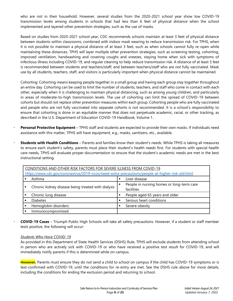who are not in their household. However, several studies from the 2020-2021 school year show low COVID-19 transmission levels among students in schools that had less than 6 feet of physical distance when the school implemented and layered other prevention strategies, such as the use of masks.

Based on studies from 2020-2021 school year, CDC recommends schools maintain at least 3 feet of physical distance between students within classrooms, combined with indoor mask wearing to reduce transmission risk. For TPHS, when it is not possible to maintain a physical distance of at least 3 feet, such as when schools cannot fully re-open while maintaining these distances, TPHS will layer multiple other prevention strategies, such as screening testing, cohorting, improved ventilation, handwashing and covering coughs and sneezes, staying home when sick with symptoms of infectious illness including COVID-19, and regular cleaning to help reduce transmission risk. A distance of at least 3 feet is recommended between students and teachers/staff, and between teachers/staff who are not fully vaccinated. Mask use by all students, teachers, staff, and visitors is particularly important when physical distance cannot be maintained.

Cohorting: Cohorting means keeping people together in a small group and having each group stay together throughout an entire day. Cohorting can be used to limit the number of students, teachers, and staff who come in contact with each other, especially when it is challenging to maintain physical distancing, such as among young children, and particularly in areas of moderate-to-high transmission levels. The use of cohorting can limit the spread of COVID-19 between cohorts but should not replace other prevention measures within each group. Cohorting people who are fully vaccinated and people who are not fully vaccinated into separate cohorts is not recommended. It is a school's responsibility to ensure that cohorting is done in an equitable manner that does not perpetuate academic, racial, or other tracking, as described in the U.S. Department of Education COVID-19 Handbook, Volume 1.

- **Personal Protective Equipment** TPHS staff and students are expected to provide their own masks. If individuals need assistance with this matter, TPHS will have equipment, e.g., masks, sanitizers, etc., available.
- **Students with Health Conditions** Parents and families know their student's needs. While TPHS is taking all measures to ensure each student's safety, parents must place their student's health needs first. For students with special health care needs, TPHS will evaluate proper documentation to ensure that the student's academic needs are met in the best instructional setting.

| CONDITIONS AND OTHER RISK FACTORS FOR SEVERE ILLNESS FROM COVID-19                              |   |                                                         |  |
|-------------------------------------------------------------------------------------------------|---|---------------------------------------------------------|--|
| https://www.cdc.gov/coronavirus/2019-ncov/need-extra-precautions/people-at-higher-risk-old.html |   |                                                         |  |
| Asthma                                                                                          | г | Liver disease                                           |  |
| Chronic kidney disease being treated with dialysis                                              |   | People in nursing homes or long-term care<br>facilities |  |
| Chronic lung disease                                                                            | в | People aged 65 years and older                          |  |
| <b>Diabetes</b>                                                                                 |   | Serious heart conditions                                |  |
| Hemoglobin disorders                                                                            | п | Severe obesity                                          |  |
| Immunocompromised                                                                               |   |                                                         |  |

 **COVID-19 Cases** – Triumph Public High Schools will take all safety precautions. However, if a student or staff member tests positive, the following will occur:

#### *Students Who Have COVID-19*

As provided in this Department of State Health Services (DSHS) Rule, TPHS will exclude students from attending school in person who are actively sick with COVID-19 or who have received a positive test result for COVID-19, and will immediately notify parents if this is determined while on campus.

However, Parents must ensure they do not send a child to school on campus if the child has COVID-19 symptoms or is test-confirmed with COVID-19, until the conditions for re-entry are met. See the DSHS rule above for more details, including the conditions for ending the exclusion period and returning to school.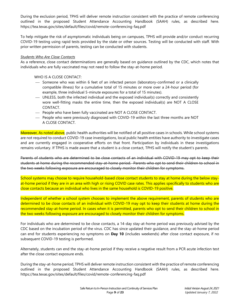During the exclusion period, TPHS will deliver remote instruction consistent with the practice of remote conferencing outlined in the proposed Student Attendance Accounting Handbook (SAAH) rules, as described here. https://tea.texas.gov/sites/default/files/covid/remote-conferencing-faq.pdf

To help mitigate the risk of asymptomatic individuals being on campuses, TPHS will provide and/or conduct recurring COVID-19 testing using rapid tests provided by the state or other sources. Testing will be conducted with staff. With prior written permission of parents, testing can be conducted with students.

#### *Students Who Are Close Contacts*

As a reference, close contact determinations are generally based on guidance outlined by the CDC, which notes that individuals who are fully vaccinated may not need to follow the stay-at-home period.

WHO IS A CLOSE CONTACT:

- Someone who was within 6 feet of an infected person (laboratory-confirmed or a clinically compatible illness) for a cumulative total of 15 minutes or more over a 24-hour period (for example, three individual 5-minute exposures for a total of 15 minutes).
- UNLESS, both the infected individual and the exposed individual(s) correctly and consistently wore well-fitting masks the entire time, then the exposed individual(s) are NOT A CLOSE CONTACT.
- People who have been fully vaccinated are NOT A CLOSE CONTACT.
- People who were previously diagnosed with COVID-19 within the last three months are NOT A CLOSE CONTACT.

Moreover, As noted above, public health authorities will be notified of all positive cases in schools. While school systems are not required to conduct COVID-19 case investigations, local public health entities have authority to investigate cases and are currently engaged in cooperative efforts on that front. Participation by individuals in these investigations remains voluntary. If TPHS is made aware that a student is a close contact, TPHS will notify the student's parents.

Parents of students who are determined to be close contacts of an individual with COVID-19 may opt to keep their students at home during the recommended stay-at-home period. Parents who opt to send their children to school in the two weeks following exposure are encouraged to closely monitor their children for symptoms.

School systems may choose to require household-based close contact students to stay at home during the below stayat-home period if they are in an area with high or rising COVID case rates. This applies specifically to students who are close contacts because an individual who lives in the same household is COVID-19 positive.

Independent of whether a school system chooses to implement the above requirement, parents of students who are determined to be close contacts of an individual with COVID-19 may opt to keep their students at home during the recommended stay-at-home period. In cases when it is permitted, parents who opt to send their children to school in the two weeks following exposure are encouraged to closely monitor their children for symptoms.

For individuals who are determined to be close contacts, a 14-day stay-at-home period was previously advised by the CDC based on the incubation period of the virus. CDC has since updated their guidance, and the stay-at-home period can end for students experiencing no symptoms on **Day 10** (includes weekends) after close contact exposure, if no subsequent COVID-19 testing is performed.

Alternately, students can end the stay-at-home period if they receive a negative result from a PCR acute infection test after the close contact exposure ends.

During the stay-at-home period, TPHS will deliver remote instruction consistent with the practice of remote conferencing outlined in the proposed Student Attendance Accounting Handbook (SAAH) rules, as described here. https://tea.texas.gov/sites/default/files/covid/remote-conferencing-faq.pdf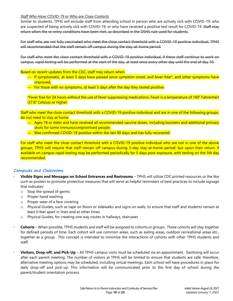#### *Staff Who Have COVID-19 or Who are Close Contacts*

Similar to students, TPHS will exclude staff from attending school in person who are actively sick with COVID-19, who are suspected of being actively sick with COVID-19, or who have received a positive test result for COVID-19. Staff may return when the re-entry conditions have been met, as described in the DSHS rule used for students.

For staff who are not fully vaccinated who meet the close contact threshold with a COVID-19 positive individual, TPHS will recommended that the staff remain off campus during the stay-at-home period.

For staff who meet the close contact threshold with a COVID-19 positive individual, if these staff continue to work on campus, rapid testing will be performed at the start of the day, at least once every other day until the end of day 10.

Based on recent updates from the CDC, staff may return when:

- <sup>1</sup> If symptomatic, at least 5 days have passed since symptom onset, and fever free\*, and other symptoms have improved.
- For those with no symptoms, at least 5 days after the day they tested positive.

\*Fever free for 24 hours without the use of fever suppressing medications. Fever is a temperature of 100° Fahrenheit (37.8° Celsius) or higher.

Staff who meet the close contact threshold with a COVID-19 positive individual and are in one of the following groups, do not need to stay at home.

- $-$  Ages 18 or older and have received all recommended vaccine doses, including boosters and additional primary shots for some immunocompromised people.
- $\longrightarrow$  Was confirmed COVID-19 positive within the last 90 days and has fully recovered.

For staff who meet the close contact threshold with a COVID-19 positive individual who are not in one of the above groups, TPHS will require that staff remain off campus during 5-day stay-at-home period; but upon their return, if available on campus rapid testing may be performed periodically for 5 days post-exposure, with testing on the 5th day recommended.

## **Campuses and Classrooms**

- **Visible Signs and Messages on School Entrances and Restrooms** TPHS will utilize CDC printed resources or the like such as posters to promote protective measures that will serve as helpful reminders of best practices to include signage that indicates:
	- o Stop the spread of germs
	- o Proper hand washing
	- o Proper wear of a face covering
	- o Physical Guides, such as tape on floors or sidewalks and signs on walls, to ensure that staff and students remain at least 6 feet apart in lines and at other times
	- o Physical Guides, for creating one way routes in hallways, staircases
- **Cohorts**  When possible, TPHS students and staff will be assigned to cohorts or groups. These cohorts will stay together for defined periods of time. Each cohort will use common areas, such as eating areas, outdoor recreational areas etc., together as a group. This concept is intended to minimize the interactions of cohorts with other TPHS students and staff.
- **Visitors, Drop-off, and Pick-Up** All TPHS campus visits must be scheduled via an appointment. Sanitizing will occur after each parent meeting. The number of visitors at TPHS will be limited to ensure that students are safe; therefore, alternative meeting options may be scheduled, including virtual meetings. Each school will have procedures in place for daily drop-off and pick-up. This information will be communicated prior to the first day of school during the parent/student orientation process.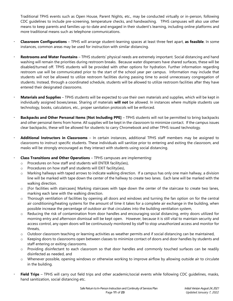Traditional TPHS events such as Open House, Parent Nights, etc., may be conducted virtually or in-person, following CDC guidelines to include pre-screening, temperature checks, and handwashing. TPHS campuses will also use other means to keep parents and families up-to-date and engaged in their student's learning, including online platforms and more traditional means such as telephone communications.

- **Classroom Configurations** TPHS will arrange student-learning spaces at least three feet apart, **as feasible**. In some instances, common areas may be used for instruction with similar distancing.
- **Restrooms and Water Fountains**  TPHS students' physical needs are extremely important. Social distancing and hand washing will remain the priorities during restroom breaks. Because water dispensers have shared surfaces, these will be disabled/turned off. TPHS students will be provided with other options for hydration. Further information regarding restroom use will be communicated prior to the start of the school year per campus. Information may include that students will not be allowed to utilize restroom facilities during passing time to avoid unnecessary congregation of students. Instead, through a coordinated schedule, students will be allowed to utilize restroom facilities after they have entered their designated classrooms.
- **Materials and Supplies** TPHS students will be expected to use their own materials and supplies, which will be kept in individually assigned boxes/areas. Sharing of materials **will not** be allowed. In instances where multiple students use technology, books, calculators, etc., proper sanitation protocols will be enforced.
- **Backpacks and Other Personal Items [Not Including PPE]** TPHS students will not be permitted to bring backpacks and other personal items from home. All supplies will be kept in the classroom to minimize contact. If the campus issues clear backpacks, these will be allowed for students to carry Chromebook and other TPHS issued technology.
- **Additional Instructors in Classrooms** In certain instances, additional TPHS staff members may be assigned to classrooms to instruct specific students. These individuals will sanitize prior to entering and exiting the classroom, and masks will be strongly encouraged as they interact with students using social distancing.
- **Class Transitions and Other Operations**  TPHS campuses are implementing:
	- o Procedures on how staff and students will ENTER facility(ies),
	- o Procedures on how staff and students will EXIT facility(ies),
	- Marking hallways with taped arrows to indicate walking direction. If a campus has only one main hallway, a division line will be marked with tape down the center of the hallway to create two lanes. Each lane will be marked with the walking direction.
	- o [For facilities with staircases] Marking staircases with tape down the center of the staircase to create two lanes, marking each lane with the walking direction.
	- o Thorough ventilation of facilities by opening all doors and windows and turning the fan option on for the central air conditioning/heating systems for the amount of time it takes for a complete air exchange in the building, when possible increase the percentage of outdoor air that circulates into the building ventilation system,
	- o Reducing the risk of contamination from door handles and encouraging social distancing, entry doors utilized for morning entry and afternoon dismissal will be kept open. However, because it is still vital to maintain security and access control, any open doors will be continuously monitored by staff to stop unauthorized access and monitor for threats,
	- o Outdoor classroom teaching or learning activities as weather permits and if social distancing can be maintained,
	- o Keeping doors to classrooms open between classes to minimize contact of doors and door handles by students and staff entering or exiting classrooms.
	- o Providing disinfectant to each classroom so that door handles and commonly touched surfaces can be readily disinfected as needed, and
	- o Whenever possible, opening windows or otherwise working to improve airflow by allowing outside air to circulate in the building.
	- **Field Trips** TPHS will carry out field trips and other academic/social events while following CDC guidelines, masks, hand sanitization, social distancing etc.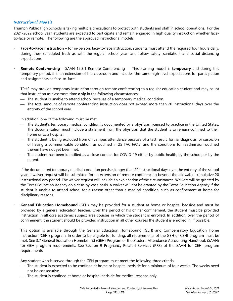## **Instructional Models**

Triumph Public High Schools is taking multiple precautions to protect both students and staff in school operations. For the 2021-2022 school year, students are expected to participate and remain engaged in high quality instruction whether faceto-face or remote. The following are the approved instructional models:

- **Face-to-Face Instruction**  for in-person, face-to-face instruction, students must attend the required four hours daily, during their scheduled track as with the regular school year, and follow safety, sanitation, and social distancing expectations.
- **Remote Conferencing** SAAH 12.3.1 Remote Conferencing This learning model is **temporary** and during this temporary period, it is an extension of the classroom and includes the same high-level expectations for participation and assignments as face-to-face.

TPHS may provide temporary instruction through remote conferencing to a regular education student and may count that instruction as classroom time **only** in the following circumstances:

- The student is unable to attend school because of a temporary medical condition.
- The total amount of remote conferencing instruction does not exceed more than 20 instructional days over the entirety of the school year.

In addition, one of the following must be met:

- The student's temporary medical condition is documented by a physician licensed to practice in the United States. The documentation must include a statement from the physician that the student is to remain confined to their home or to a hospital.
- The student is being excluded from on campus attendance because of a test result, formal diagnosis, or suspicion of having a communicable condition, as outlined in 25 TAC §97.7, and the conditions for readmission outlined therein have not yet been met.
- The student has been identified as a close contact for COVID-19 either by public health, by the school, or by the parent.

If the documented temporary medical condition persists longer than 20 instructional days over the entirety of the school year, a waiver request will be submitted for an extension of remote conferencing beyond the allowable cumulative 20 instructional day period. The waiver request will include an explanation of the circumstances. Waivers will be granted by the Texas Education Agency on a case-by-case basis. A waiver will not be granted by the Texas Education Agency if the student is unable to attend school for a reason other than a medical condition, such as confinement at home for disciplinary reasons.

 **General Education Homebound** (GEH) may be provided for a student at home or hospital bedside and must be provided by a general education teacher. Over the period of his or her confinement, the student must be provided instruction in all core academic subject area courses in which the student is enrolled. In addition, over the period of confinement, the student should be provided instruction in all other courses the student is enrolled in, if possible.

This option is available through the General Education Homebound (GEH) and Compensatory Education Home Instruction (CEHI) program. In order to be eligible for funding, all requirements of the GEH or CEHI program must be met. See 3.7 General Education Homebound (GEH) Program of the Student Attendance Accounting Handbook (SAAH) for GEH program requirements. See Section 9 Pregnancy-Related Services (PRS) of the SAAH for CEHI program requirements.

Any student who is served through the GEH program must meet the following three criteria:

- The student is expected to be confined at home or hospital bedside for a minimum of four weeks. The weeks need not be consecutive.
- The student is confined at home or hospital bedside for medical reasons only.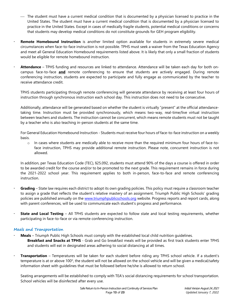- The student must have a current medical condition that is documented by a physician licensed to practice in the United States. The student must have a current medical condition that is documented by a physician licensed to practice in the United States. Except in cases of medically fragile students, potential medical conditions or concerns that students may develop medical conditions do not constitute grounds for GEH program eligibility.
- **Remote Homebound Instruction** is another limited option available for students in extremely severe medical circumstances when face-to-face instruction is not possible. TPHS must seek a waiver from the Texas Education Agency and meet all General Education Homebound requirements listed above. It is likely that only a small fraction of students would be eligible for remote homebound instruction.
- **Attendance**  TPHS funding and resources are linked to attendance. Attendance will be taken each day for both oncampus face-to-face **and** remote conferencing to ensure that students are actively engaged. During remote conferencing instruction, students are expected to participate and fully engage as communicated by the teacher to receive attendance credit.

TPHS students participating through remote conferencing will generate attendance by receiving at least four hours of instruction through synchronous instruction each school day. This instruction does not need to be consecutive.

Additionally, attendance will be generated based on whether the student is virtually "present" at the official attendancetaking time. Instruction must be provided synchronously, which means two-way, real-time/live virtual instruction between teachers and students. The instruction cannot be concurrent, which means remote students must not be taught by a teacher who is also teaching in-person students at the same time.

For General Education Homebound Instruction - Students must receive four hours of face-to-face instruction on a weekly basis.

o In cases where students are medically able to receive more than the required minimum four hours of face-toface instruction, TPHS may provide additional remote instruction. Please note, concurrent instruction is not allowed.

In addition, per Texas Education Code (TEC), §25.092, students must attend 90% of the days a course is offered in order to be awarded credit for the course and/or to be promoted to the next grade. This requirement remains in force during the 2021-2022 school year. This requirement applies to both in-person, face-to-face and remote conferencing instruction.

- **Grading**  State law requires each district to adopt its own grading policies. This policy must require a classroom teacher to assign a grade that reflects the student's relative mastery of an assignment. Triumph Public High Schools' grading policies are published annually on the [www.triumphpublicschools.org](http://www.triumphpublicschools.org/) website. Progress reports and report cards, along with parent conferences, will be used to communicate each student's progress and performance.
- **State and Local Testing** All TPHS students are expected to follow state and local testing requirements, whether participating in face-to-face or via remote conferencing instruction.

## **Meals and Transportation**

- **Meals**  Triumph Public High Schools must comply with the established local child nutrition guidelines.
	- **Breakfast and Snacks at TPHS** Grab and Go breakfast meals will be provided as first track students enter TPHS and students will eat in designated areas adhering to social distancing at all times.
- **Transportation** Temperatures will be taken for each student before riding any TPHS school vehicle. If a student's temperature is at or above 100°, the student will not be allowed on the school vehicle and will be given a medical/safety information sheet with guidelines that must be followed before he/she is allowed to return school.

Seating arrangements will be established to comply with TEA's social distancing requirements for school transportation. School vehicles will be disinfected after every use.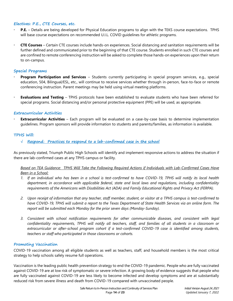## **Electives: P.E., CTE Courses, etc.**

- **P.E.** Details are being developed for Physical Education programs to align with the TEKS course expectations. TPHS will base course expectations on recommended U.I.L. COVID guidelines for athletic programs.
- **CTE Courses** Certain CTE courses include hands-on experiences. Social distancing and sanitation requirements will be further defined and communicated prior to the beginning of that CTE course. Students enrolled in such CTE courses and are confined to remote conferencing instruction will be asked to complete those hands-on experiences upon their return to on-campus.

## **Special Programs**

- **Program Participation and Services**  Students currently participating in special program services, e.g., special education, 504, Bilingual/ESL, etc., will continue to receive services whether through in-person, face-to-face or remote conferencing instruction. Parent meetings may be held using virtual meeting platforms.
- **Evaluations and Testing**  TPHS protocols have been established to evaluate students who have been referred for special programs. Social distancing and/or personal protective equipment (PPE) will be used, as appropriate.

## **Extracurricular Activities**

 **Extracurricular Activities** – Each program will be evaluated on a case-by-case basis to determine implementation guidelines. Program sponsors will provide information to students and parents/families, as information is available.

## **TPHS Will:**

√ **Respond: Practices to respond to a lab-confirmed case in the school**

As previously stated, Triumph Public High Schools will identify and implement responsive actions to address the situation if there are lab-confirmed cases at any TPHS campus or facility.

## *Based on TEA Guidance: TPHS Will Take the Following Required Actions if Individuals with Lab-Confirmed Cases Have Been in a School:*

- *1. If an individual who has been in a school is test-confirmed to have COVID-19, TPHS will notify its local health department, in accordance with applicable federal, state and local laws and regulations, including confidentiality requirements of the Americans with Disabilities Act (ADA) and Family Educational Rights and Privacy Act (FERPA).*
- *2. Upon receipt of information that any teacher, staff member, student, or visitor at a TPHS campus is test-confirmed to have COVID-19, TPHS will submit a report to the Texas Department of State Health Services via an online form. The report will be submitted each Monday for the prior seven days (Monday-Sunday).*
- *3. Consistent with school notification requirements for other communicable diseases, and consistent with legal confidentiality requirements, TPHS will notify all teachers, staff, and families of all students in a classroom or extracurricular or after-school program cohort if a test-confirmed COVID-19 case is identified among students, teachers or staff who participated in those classrooms or cohorts.*

## **Promoting Vaccination**

COVID-19 vaccination among all eligible students as well as teachers, staff, and household members is the most critical strategy to help schools safely resume full operations.

Vaccination is the leading public health prevention strategy to end the COVID-19 pandemic. People who are fully vaccinated against COVID-19 are at low risk of symptomatic or severe infection. A growing body of evidence suggests that people who are fully vaccinated against COVID-19 are less likely to become infected and develop symptoms and are at substantially reduced risk from severe illness and death from COVID-19 compared with unvaccinated people.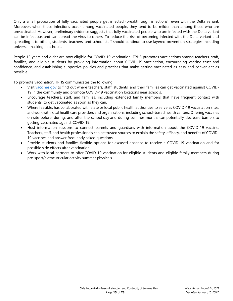Only a small proportion of fully vaccinated people get infected (breakthrough infections), even with the Delta variant. Moreover, when these infections occur among vaccinated people, they tend to be milder than among those who are unvaccinated. However, preliminary evidence suggests that fully vaccinated people who are infected with the Delta variant can be infectious and can spread the virus to others. To reduce the risk of becoming infected with the Delta variant and spreading it to others, students, teachers, and school staff should continue to use layered prevention strategies including universal masking in schools.

People 12 years and older are now eligible for COVID-19 vaccination. TPHS promotes vaccinations among teachers, staff, families, and eligible students by providing information about COVID-19 vaccination, encouraging vaccine trust and confidence, and establishing supportive policies and practices that make getting vaccinated as easy and convenient as possible.

To promote vaccination, TPHS communicates the following:

- Visit [vaccines.gov](http://www.vaccines.gov/) to find out where teachers, staff, students, and their families can get vaccinated against COVID-19 in the community and promote COVID-19 vaccination locations near schools.
- Encourage teachers, staff, and families, including extended family members that have frequent contact with students, to get vaccinated as soon as they can.
- Where feasible, has collaborated with state or local public health authorities to serve as COVID-19 vaccination sites, and work with local healthcare providers and organizations, including school-based health centers. Offering vaccines on-site before, during, and after the school day and during summer months can potentially decrease barriers to getting vaccinated against COVID-19.
- Host information sessions to connect parents and guardians with information about the COVID-19 vaccine. Teachers, staff, and health professionals can be trusted sources to explain the safety, efficacy, and benefits of COVID-19 vaccines and answer frequently asked questions.
- Provide students and families flexible options for excused absence to receive a COVID-19 vaccination and for possible side effects after vaccination.
- Work with local partners to offer COVID-19 vaccination for eligible students and eligible family members during pre-sport/extracurricular activity summer physicals.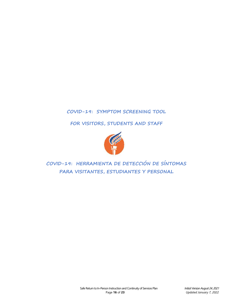# **COVID-19: SYMPTOM SCREENING TOOL**

**FOR VISITORS, STUDENTS AND STAFF**



**COVID-19: HERRAMIENTA DE DETECCIÓN DE SÍNTOMAS PARA VISITANTES, ESTUDIANTES Y PERSONAL**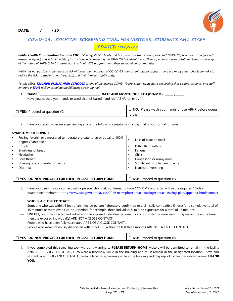## **DATE: \_\_\_\_\_ / \_\_\_\_\_ / 20\_\_\_\_\_**



# **COVID-19: SYMPTOM SCREENING TOOL FOR VISITORS, STUDENTS AND STAFF UPDATED 01/2022**

*Public Health Consideration from the CDC: Globally, K-12 schools and ECE programs used various, layered COVID-19 prevention strategies with in-person, hybrid, and virtual models of instruction and care during the 2020-2021 academic year. Their experiences have contributed to our knowledge of the nature of SARS-CoV-2 transmission in schools, ECE programs, and their surrounding communities.* 

*While it is not possible to eliminate all risk of furthering the spread of COVID-19, the current science suggests there are many steps schools can take to reduce the risks to students, teachers, staff, and their families significantly.*

*To this effect, TRIUMPH PUBLIC HIGH SCHOOLS as one of the layered COVID-19 prevention strategies is requesting that visitors, students, and staff entering a TPHS facility complete the following screening tool:*

| NAME:                                                                      | DATE AND MONTH OF BIRTH (DD/MM): |
|----------------------------------------------------------------------------|----------------------------------|
| Have you washed your hands or used alcohol-based hand rub (ABHR) on entry? |                                  |

| $\Box$ <b>YES:</b> Proceed to question #2. | $\Box$ NO: Please wash your hands or use ABHR before going |
|--------------------------------------------|------------------------------------------------------------|
|                                            | further.                                                   |

2. Have you recently begun experiencing any of the following symptoms in a way that is not normal for you?

#### **SYMPTOMS OF COVID-19**

| Shortness of breath<br>Fatigue<br>Headache<br>Chills<br>$\blacksquare$<br>Sore throat<br>Congestion or runny nose<br>Significant muscle pain or ache<br>Shaking or exaggerated shivering<br>$\blacksquare$ |
|------------------------------------------------------------------------------------------------------------------------------------------------------------------------------------------------------------|
| Nausea or vomiting<br>Diarrhea                                                                                                                                                                             |

| $\square$ YES: DO NOT PROCEED FURTHER. PLEASE RETURN HOME. | $\Box$ NO: Proceed to question #3. |  |
|------------------------------------------------------------|------------------------------------|--|
|                                                            |                                    |  |

3. Have you been in close contact with a person who is lab confirmed to have COVID-19 and is still within the required 10-day quarantine timeframe? https://www.cdc.gov/coronavirus/2019-ncov/php/contact-tracing/contact-tracing-plan/appendix.html#contact

#### **WHO IS A CLOSE CONTACT:**

- Someone who was within 6 feet of an infected person (laboratory-confirmed or a clinically compatible illness) for a cumulative total of 15 minutes or more over a 24-hour period (for example, three individual 5-minute exposures for a total of 15 minutes).
- **UNLESS**, both the infected individual and the exposed individual(s) correctly and consistently wore well-fitting masks the entire time, then the exposed individual(s) ARE NOT A CLOSE CONTACT.
- People who have been fully vaccinated ARE NOT A CLOSE CONTACT. People who were previously diagnosed with COVID-19 within the last three months ARE NOT A CLOSE CONTACT.

#### □ **YES**: **DO NOT PROCEED FURTHER**. **PLEASE RETURN HOME**. □ **NO**: Proceed to question #4.

**4.** If you completed this screening tool without a warning to **PLEASE RETURN HOME**, visitors will be permitted to remain in the facility AND ARE HIGHLY ENCOURAGED to wear a facemask while in the building and must remain in the designated location. Staff and students are HIGHLY ENCOURAGED to wear a facemask/covering while in the building and may report to their designated room. **THANK YOU.**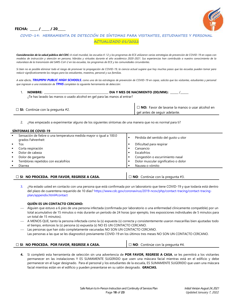## **FECHA:** / / / 20



# **COVID-19: HERRAMIENTA DE DETECCIÓN DE SÍNTOMAS PARA VISITANTES, ESTUDIANTES Y PERSONAL**

**ACTUALIZADO 01/2022**

*Consideración de la salud pública del CDC: A nivel mundial, las escuelas K-12 y los programas de ECE utilizaron varias estrategias de prevención de COVID-19 en capas con modelos de instrucción y atención en persona, híbridos y virtuales durante el año académico 2020-2021. Sus experiencias han contribuido a nuestro conocimiento de la naturaleza de la transmisión del SARS-CoV-2 en las escuelas, los programas de ECE y las comunidades circundantes.*

*Si bien no es posible eliminar todo el riesgo de promover la propagación de COVID-19, la ciencia actual sugiere que hay muchos pasos que las escuelas pueden tomar para reducir significativamente los riesgos para los estudiantes, maestros, personal y sus familias.*

*A este efecto, TRIUMPH PUBLIC HIGH SCHOOLS, como una de las estrategias de prevención de COVID-19 en capas, solicita que los visitantes, estudiantes y personal que ingresan a una instalación de TPHS completen la siguiente herramienta de detección:*

| <b>NOMBRE:</b>                                                            | DIA Y MES DE NACIMIENTO (DD/MM): |
|---------------------------------------------------------------------------|----------------------------------|
| ¿Te has lavado las manos o usado alcohol en gel para las manos al entrar? |                                  |

| $\Box$ SI: Continúe con la pregunta #2. | $\Box$ <b>NO:</b> Favor de lavarse la manos o usar alcohol en |
|-----------------------------------------|---------------------------------------------------------------|
|                                         | qel antes de sequir adelante.                                 |

2. ¿Has empezado a experimentar alguno de los siguientes síntomas de una manera que no es normal para ti?

#### **SÍNTOMAS DE COVID-19**

| $\blacksquare$ | Sensación de fiebre o una temperatura medida mayor o igual a 100.0<br>grados Fahrenheit | Pérdida del sentido del gusto u olor |
|----------------|-----------------------------------------------------------------------------------------|--------------------------------------|
| $\blacksquare$ | Tos                                                                                     | Dificultad para respirar             |
| $\blacksquare$ | Corta respiración                                                                       | Cansancio                            |
| $\blacksquare$ | Dolor de cabeza                                                                         | Escalofríos                          |
| $\blacksquare$ | Dolor de garganta                                                                       | Congestión o escurrimiento nasal     |
| $\blacksquare$ | Temblores repetidos con escalofríos                                                     | Dolor muscular significativo o dolor |
| ٠              | Diarrea                                                                                 | Nausea o vómito                      |
|                |                                                                                         |                                      |

## □ **SI**: **NO PROCEDA. POR FAVOR, REGRESE A CASA.** □ **NO**: Continúe con la pregunta #3.

3. ¿Ha estado usted en contacto con una persona que está confirmada por un laboratorio que tiene COVID-19 y que todavía está dentro del plazo de cuarentena requerido de 10 días? https://www.cdc.gov/coronavirus/2019-ncov/php/contact-tracing/contact-tracingplan/appendix.html#contact

#### **QUIÉN ES UN CONTACTO CERCANO:**

- Alguien que estuvo a 6 pies de una persona infectada (confirmada por laboratorio o una enfermedad clínicamente compatible) por un total acumulativo de 15 minutos o más durante un período de 24 horas (por ejemplo, tres exposiciones individuales de 5 minutos para un total de 15 minutos).
- A MENOS QUE, tanto la persona infectada como la (s) expuesta (s) correcta y consistentemente usaron mascarillas bien ajustadas todo el tiempo, entonces la (s) persona (s) expuesta (s) NO ES UN CONTACTO CERCANO.
- Las personas que han sido completamente vacunadas NO SON UN CONTACTO CERCANO. Las personas a las que se les diagnosticó previamente COVID-19 en los últimos tres meses NO SON UN CONTACTO CERCANO.

| $\Box$ SI: NO PROCEDA. POR FAVOR, REGRESE A CASA. | $\Box$ <b>NO</b> : Continúe con la pregunta #4. |
|---------------------------------------------------|-------------------------------------------------|
|---------------------------------------------------|-------------------------------------------------|

**4.** Si completó esta herramienta de selección sin una advertencia de **POR FAVOR, REGRESE A CASA**, se les permitirá a los visitantes permanecer en las instalaciones Y ES SUMAMENTE SUGERIDO que usen una máscara facial mientras está en el edificio y debe permanecer en el lugar designado. Para el personal y los estudiantes de la escuela, ES SUMAMENTE SUGERIDO que usen una máscara facial mientras están en el edificio y pueden presentarse en su salón designado. **GRACIAS.**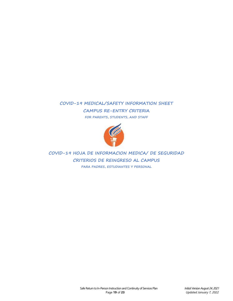# **COVID-19 MEDICAL/SAFETY INFORMATION SHEET CAMPUS RE-ENTRY CRITERIA FOR PARENTS, STUDENTS, AND STAFF**



# **COVID-19 HOJA DE INFORMACION MEDICA/ DE SEGURIDAD CRITERIOS DE REINGRESO AL CAMPUS PARA PADRES, ESTUDIANTES Y PERSONAL**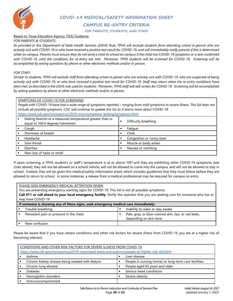

**COVID-19 MEDICAL/SAFETY INFORMATION SHEET**

## **CAMPUS RE-ENTRY CRITERIA**

**FOR PARENTS, STUDENTS, AND STAFF**

#### Based on Texas Education Agency (TEA) Guidance

*FOR PARENTS & STUDENTS:*

*As provided in this Department of State Health Services (DSHS) Rule, TPHS will exclude students from attending school in person who are actively sick with COVID-19 or who have received a positive test result for COVID-19, and will immediately notify parents if this is determined while on campus. Parents must ensure they do not send a child to school on campus if the child has COVID-19 symptoms or is test-confirmed*  with COVID-19, until the conditions for re-entry are met. Moreover, TPHS students will be screened for COVID-19. Screening will be *accomplished by asking questions by phone or other electronic methods and/or in person.*

#### *FOR STAFF:*

*Similar to students, TPHS will exclude staff from attending school in person who are actively sick with COVID-19, who are suspected of being actively sick with COVID-19, or who have received a positive test result for COVID-19. Staff may return when the re-entry conditions have been met, as described in the DSHS rule used for students. Moreover, TPHS staff will self-screen for COVID-19. Screening will be accomplished by asking questions by phone or other electronic methods and/or in person.*

#### SYMPTOMS OF COVID-19 FOR SCREENING

*People with COVID-19 have had a wide range of symptoms reported – ranging from mild symptoms to severe illness. This list does not include all possible symptoms. CDC will continue to update this list as it learns more about COVID-19*  <https://www.cdc.gov/coronavirus/2019-ncov/symptoms-testing/symptoms.html>

| Feeling feverish or a measured temperature greater than or<br>equal to 100.0 degrees Fahrenheit | Difficulty breathing     |
|-------------------------------------------------------------------------------------------------|--------------------------|
| Cough                                                                                           | Fatigue                  |
| Shortness of breath                                                                             | Chills                   |
| Headache                                                                                        | Congestion or runny nose |
| Sore throat                                                                                     | Muscle or body aches     |
| Diarrhea                                                                                        | Nausea or vomiting       |
| New loss of taste or smell                                                                      |                          |

If upon screening, a TPHS student's or staff's temperature is at or above 100° and they are exhibiting other COVID-19 symptoms [see chart above], they will not be allowed on a school vehicle, will not be allowed to come into the campus, and will not be allowed to stay in school. Instead, they will be given this medical/safety information sheet, which includes guidelines that they must follow before they are allowed to return to school. In some instances, a release from a medical professional may be required for campus re-entry.

#### PLEASE SEEK EMERGENCY MEDICAL ATTENTION WHEN

You are presenting emergency warning signs for COVID-19. This list is not all possible symptoms.

**Call 911 or call ahead to your local emergency facility**: Notify the operator that you are seeking care for someone who has or may have COVID-19.

| If someone is showing any of these signs, seek emergency medical care immediately: |  |                                                                                 |
|------------------------------------------------------------------------------------|--|---------------------------------------------------------------------------------|
| Trouble breathing                                                                  |  | Inability to wake or stay awake                                                 |
| Persistent pain or pressure in the chest                                           |  | Pale, gray, or blue-colored skin, lips, or nail beds,<br>depending on skin tone |
| New confusion                                                                      |  |                                                                                 |

Please be aware that if you have certain conditions and other risk factors for severe illness from COVID-19, you are at a higher risk of becoming infected.

| CONDITIONS AND OTHER RISK FACTORS FOR SEVERE ILLNESS FROM COVID-19                              |  |                                                      |
|-------------------------------------------------------------------------------------------------|--|------------------------------------------------------|
| https://www.cdc.gov/coronavirus/2019-ncov/need-extra-precautions/people-at-higher-risk-old.html |  |                                                      |
| Asthma                                                                                          |  | Liver disease                                        |
| Chronic kidney disease being treated with dialysis                                              |  | People in nursing homes or long-term care facilities |
| Chronic lung disease                                                                            |  | People aged 65 years and older                       |
| <b>Diabetes</b>                                                                                 |  | Serious heart conditions                             |
| Hemoglobin disorders                                                                            |  | Severe obesity                                       |
| Immunocompromised                                                                               |  |                                                      |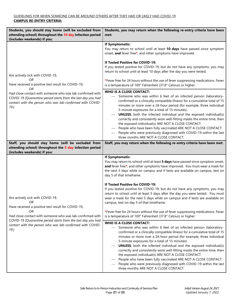| Students, you should stay home (will be excluded from<br>attending school) throughout the 10 day infection period<br>(includes weekends) if you:                                                     | Students, you may return when the following re-entry criteria have been<br>met:                                                                                                                                                                                                                                                                                                                                                                                                                                                                                                                                                                                                                             |
|------------------------------------------------------------------------------------------------------------------------------------------------------------------------------------------------------|-------------------------------------------------------------------------------------------------------------------------------------------------------------------------------------------------------------------------------------------------------------------------------------------------------------------------------------------------------------------------------------------------------------------------------------------------------------------------------------------------------------------------------------------------------------------------------------------------------------------------------------------------------------------------------------------------------------|
|                                                                                                                                                                                                      | If Symptomatic:<br>You may return to school until at least 10 days have passed since symptom<br>onset, and fever free*, and other symptoms have improved.                                                                                                                                                                                                                                                                                                                                                                                                                                                                                                                                                   |
| Are actively sick with COVID-19,<br>OR<br>Have received a positive test result for COVID-19,                                                                                                         | If Tested Positive for COVID-19:<br>If you tested positive for COVID-19; but do not have any symptoms, you may<br>return to school until at least 10 days after the day you were tested.<br>*Fever free for 24 hours without the use of fever suppressing medications. Fever<br>is a temperature of 100° Fahrenheit (37.8° Celsius) or higher.                                                                                                                                                                                                                                                                                                                                                              |
| OR<br>Had close contact with someone who was lab-confirmed with<br>COVID-19 [Quarantine period starts from the last day you had<br>contact with the person who was lab-confirmed with COVID-<br>19.J | <b>WHO IS A CLOSE CONTACT:</b><br>Someone who was within 6 feet of an infected person (laboratory-<br>confirmed or a clinically compatible illness) for a cumulative total of 15<br>minutes or more over a 24-hour period (for example, three individual<br>5-minute exposures for a total of 15 minutes).<br><b>UNLESS</b> , both the infected individual and the exposed individual(s)<br>correctly and consistently wore well-fitting masks the entire time, then<br>the exposed individual(s) ARE NOT A CLOSE CONTACT.<br>People who have been fully vaccinated ARE NOT A CLOSE CONTACT.<br>People who were previously diagnosed with COVID-19 within the last<br>three months ARE NOT A CLOSE CONTACT. |
| Staff, you should stay home (will be excluded from<br>attending school) throughout the 5 day infection period<br>(includes weekends) if you:                                                         | Staff, you may return when the following re-entry criteria have been met:                                                                                                                                                                                                                                                                                                                                                                                                                                                                                                                                                                                                                                   |
|                                                                                                                                                                                                      | <b>If Symptomatic:</b><br>You may return to school until at least 5 days have passed since symptom onset,<br>and fever free*, and other symptoms have improved. You must wear a mask for<br>the next 5 days while on campus and if tests are available on campus, test on<br>day 5 of that timeframe.                                                                                                                                                                                                                                                                                                                                                                                                       |
| Are actively sick with COVID-19,<br>ΟR<br>Have received a positive test result for COVID-19,<br>OR                                                                                                   | If Tested Positive for COVID-19:<br>If you tested positive for COVID-19; but do not have any symptoms, you may<br>return to school until at least 5 days after the day you were tested. You must<br>wear a mask for the next 5 days while on campus and if tests are available on<br>campus, test on day 5 of that timeframe.<br>*Fever free for 24 hours without the use of fever suppressing medications. Fever                                                                                                                                                                                                                                                                                           |
| Had close contact with someone who was lab-confirmed with<br>COVID-19 [Quarantine period starts from the last day you had<br>contact with the person who was lab-confirmed with COVID-               | is a temperature of 100° Fahrenheit (37.8° Celsius) or higher.<br><b>WHO IS A CLOSE CONTACT:</b>                                                                                                                                                                                                                                                                                                                                                                                                                                                                                                                                                                                                            |
| 19.J                                                                                                                                                                                                 | Someone who was within 6 feet of an infected person (laboratory-<br>confirmed or a clinically compatible illness) for a cumulative total of 15<br>minutes or more over a 24-hour period (for example, three individual<br>5-minute exposures for a total of 15 minutes).<br><b>UNLESS</b> , both the infected individual and the exposed individual(s)<br>correctly and consistently wore well-fitting masks the entire time, then<br>the exposed individual(s) ARE NOT A CLOSE CONTACT.<br>People who have been fully vaccinated ARE NOT A CLOSE CONTACT.<br>People who were previously diagnosed with COVID-19 within the last<br>three months ARE NOT A CLOSE CONTACT.                                   |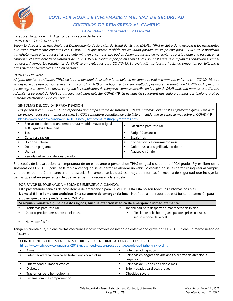

**COVID-19 HOJA DE INFORMACION MEDICA/ DE SEGURIDAD CRITERIOS DE REINGRESO AL CAMPUS**

**PARA PADRES, ESTUDIANTES Y PERSONAL**

#### Basado en la guía de TEA (Agency de Educación de Texas)

#### *PARA PADRES Y ESTUDIANTES:*

*Según lo dispuesto en esta Regla del Departamento de Servicios de Salud del Estado (DSHS), TPHS excluirá de la escuela a los estudiantes que estén activamente enfermos con COVID-19 o que hayan recibido un resultado positivo en la prueba para COVID-19, y notificará inmediatamente a los padres si esto se determina en el campus. Los padres deben asegurarse de no enviar a su estudiante a la escuela en el campus si el estudiante tiene síntomas de COVID-19 o se confirma por prueba con COVID-19, hasta que se cumplan las condiciones para el reingreso. Además, los estudiantes de TPHS serán evaluados para COVID-19. La evaluación se logrará haciendo preguntas por teléfono u otros métodos electrónicos y / o en persona.*

#### *PARA EL PERSONAL:*

*Al igual que los estudiantes, TPHS excluirá al personal de asistir a la escuela en persona que esté activamente enfermo con COVID-19, que se sospeche que esté activamente enfermo con COVID-19 o que haya recibido un resultado positivo en la prueba de COVID-19. El personal puede regresar cuando se hayan cumplido las condiciones de reingreso, como se describe en la regla de DSHS utilizada para los estudiantes. Además, el personal de TPHS se autoevaluará para detectar COVID-19. La evaluación se logrará haciendo preguntas por teléfono u otros métodos electrónicos y / o en persona.* 

#### SINTOMAS DEL COVID-19 PARA REVISION

Las personas con COVID-19 han reportado una amplia gama de síntomas – desde síntomas leves hasta enfermedad grave. Esta lista *no incluye todos los síntomas posibles. La CDC continuará actualizando esta lista a medida que se conozca más sobre el COVID-19*  <https://www.cdc.gov/coronavirus/2019-ncov/symptoms-testing/symptoms.html>

| Sensación de fiebre o una temperatura medida mayor o igual a<br>100.0 grados Fahrenheit | Dificultad para respirar             |
|-----------------------------------------------------------------------------------------|--------------------------------------|
| Tos                                                                                     | Fatiga/ Cansancio                    |
| Corta respiración                                                                       | Escalofríos                          |
| Dolor de cabeza                                                                         | Congestión o escurrimiento nasal     |
| Dolor de garganta                                                                       | Dolor muscular significativo o dolor |
| Diarrea                                                                                 | Nausea o vómito                      |
| Pérdida del sentido del gusto u olor                                                    |                                      |

Si después de la evaluación, la temperatura de un estudiante o personal de TPHS es igual o superior a 100.4 grados F y exhiben otros síntomas de COVID 19 [consulte la tabla anterior], no se les permitirá abordar un vehículo escolar, no se les permitirá ingresar al campus, y no se les permitirá permanecer en la escuela. En cambio, se les dará esta hoja de información médica de seguridad que incluye las pautas que deben seguir antes de que se les permita regresar a la escuela.

POR FAVOR BUSQUE AYUDA MEDICA DE EMERGENCIA CUANDO:

Está presentando señales de advertencia de emergencia para COVID-19. Esta lista no son todos los síntomas posibles.

**Llame al 911 o llame con anticipación a su centro de emergencia local**: Notifique al operador que está buscando atención para alguien que tiene o puede tener COVID-19.

|     | Si alguien muestra alguna de estos signos, busque atención médica de emergencia inmediatamente: |                                                                                    |
|-----|-------------------------------------------------------------------------------------------------|------------------------------------------------------------------------------------|
|     | Problemas para respirar                                                                         | Inhabilidad para despertar o mantenerse despierto                                  |
| . . | Dolor o presión persistente en el pecho                                                         | Piel, labios o lecho unqueal pálidos, grises o azules,<br>según el tono de la piel |
|     | Nueva confusión                                                                                 |                                                                                    |

Tenga en cuenta que, si tiene ciertas afecciones y otros factores de riesgo de enfermedad grave por COVID 19, tiene un mayor riesgo de infectarse.

|                                                                                                 | CONDICIONES Y OTROS FACTORES DE RIESGO DE ENFERMEDAD GRAVE POR COVID 19 |  |                                                                        |
|-------------------------------------------------------------------------------------------------|-------------------------------------------------------------------------|--|------------------------------------------------------------------------|
| https://www.cdc.gov/coronavirus/2019-ncov/need-extra-precautions/people-at-higher-risk-old.html |                                                                         |  |                                                                        |
|                                                                                                 | Asma                                                                    |  | Enfermedad hepática                                                    |
|                                                                                                 | Enfermedad renal crónica en tratamiento con diálisis                    |  | Personas en hogares de ancianos o centros de atención a<br>largo plazo |
|                                                                                                 | Enfermedad pulmonar crónica                                             |  | Personas de 65 años de edad o más                                      |
|                                                                                                 | <b>Diabetes</b>                                                         |  | Enfermedades cardíacas graves                                          |
|                                                                                                 | Trastornos de la hemoglobina                                            |  | Obesidad severa                                                        |
|                                                                                                 | Sistema Inmune comprometido                                             |  |                                                                        |